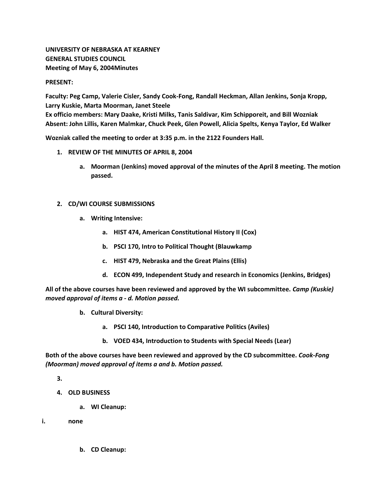# **UNIVERSITY OF NEBRASKA AT KEARNEY GENERAL STUDIES COUNCIL Meeting of May 6, 2004Minutes**

#### **PRESENT:**

**Faculty: Peg Camp, Valerie Cisler, Sandy Cook-Fong, Randall Heckman, Allan Jenkins, Sonja Kropp, Larry Kuskie, Marta Moorman, Janet Steele Ex officio members: Mary Daake, Kristi Milks, Tanis Saldivar, Kim Schipporeit, and Bill Wozniak Absent: John Lillis, Karen Malmkar, Chuck Peek, Glen Powell, Alicia Spelts, Kenya Taylor, Ed Walker**

**Wozniak called the meeting to order at 3:35 p.m. in the 2122 Founders Hall.**

- **1. REVIEW OF THE MINUTES OF APRIL 8, 2004**
	- **a. Moorman (Jenkins) moved approval of the minutes of the April 8 meeting. The motion passed.**

### **2. CD/WI COURSE SUBMISSIONS**

- **a. Writing Intensive:** 
	- **a. HIST 474, American Constitutional History II (Cox)**
	- **b. PSCI 170, Intro to Political Thought (Blauwkamp**
	- **c. HIST 479, Nebraska and the Great Plains (Ellis)**
	- **d. ECON 499, Independent Study and research in Economics (Jenkins, Bridges)**

**All of the above courses have been reviewed and approved by the WI subcommittee.** *Camp (Kuskie) moved approval of items a - d. Motion passed.*

- **b. Cultural Diversity:** 
	- **a. PSCI 140, Introduction to Comparative Politics (Aviles)**
	- **b. VOED 434, Introduction to Students with Special Needs (Lear)**

**Both of the above courses have been reviewed and approved by the CD subcommittee.** *Cook-Fong (Moorman) moved approval of items a and b. Motion passed.*

**3.**

- **4. OLD BUSINESS**
	- **a. WI Cleanup:**
- **i. none**
	- **b. CD Cleanup:**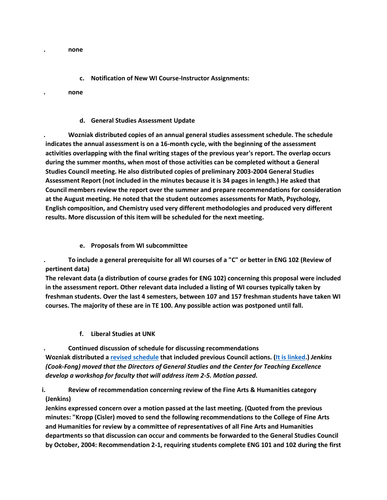**. none**

### **c. Notification of New WI Course-Instructor Assignments:**

**. none**

#### **d. General Studies Assessment Update**

**. Wozniak distributed copies of an annual general studies assessment schedule. The schedule indicates the annual assessment is on a 16-month cycle, with the beginning of the assessment activities overlapping with the final writing stages of the previous year's report. The overlap occurs during the summer months, when most of those activities can be completed without a General Studies Council meeting. He also distributed copies of preliminary 2003-2004 General Studies Assessment Report (not included in the minutes because it is 34 pages in length.) He asked that Council members review the report over the summer and prepare recommendations for consideration at the August meeting. He noted that the student outcomes assessments for Math, Psychology, English composition, and Chemistry used very different methodologies and produced very different results. More discussion of this item will be scheduled for the next meeting.**

### **e. Proposals from WI subcommittee**

**. To include a general prerequisite for all WI courses of a "C" or better in ENG 102 (Review of pertinent data)**

**The relevant data (a distribution of course grades for ENG 102) concerning this proposal were included in the assessment report. Other relevant data included a listing of WI courses typically taken by freshman students. Over the last 4 semesters, between 107 and 157 freshman students have taken WI courses. The majority of these are in TE 100. Any possible action was postponed until fall.**

**f. Liberal Studies at UNK** 

**. Continued discussion of schedule for discussing recommendations Wozniak distributed a [revised schedule](http://www.unk.edu/academicaffairs/generalstudies/index.php?id=3850) that included previous Council actions. [\(It is linked.](http://www.unk.edu/academicaffairs/generalstudies/index.php?id=3850))** *Jenkins (Cook-Fong) moved that the Directors of General Studies and the Center for Teaching Excellence develop a workshop for faculty that will address item 2-5. Motion passed.*

# **i. Review of recommendation concerning review of the Fine Arts & Humanities category (Jenkins)**

**Jenkins expressed concern over a motion passed at the last meeting. (Quoted from the previous minutes: "Kropp (Cisler) moved to send the following recommendations to the College of Fine Arts and Humanities for review by a committee of representatives of all Fine Arts and Humanities departments so that discussion can occur and comments be forwarded to the General Studies Council by October, 2004: Recommendation 2-1, requiring students complete ENG 101 and 102 during the first**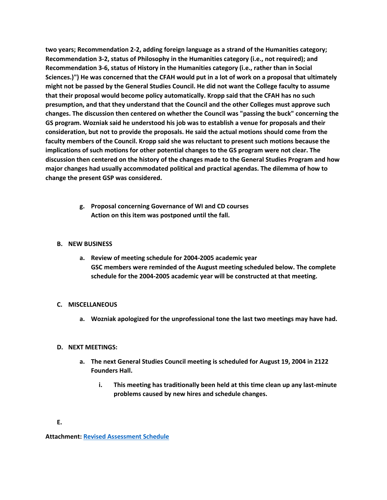**two years; Recommendation 2-2, adding foreign language as a strand of the Humanities category; Recommendation 3-2, status of Philosophy in the Humanities category (i.e., not required); and Recommendation 3-6, status of History in the Humanities category (i.e., rather than in Social Sciences.)") He was concerned that the CFAH would put in a lot of work on a proposal that ultimately might not be passed by the General Studies Council. He did not want the College faculty to assume that their proposal would become policy automatically. Kropp said that the CFAH has no such presumption, and that they understand that the Council and the other Colleges must approve such changes. The discussion then centered on whether the Council was "passing the buck" concerning the GS program. Wozniak said he understood his job was to establish a venue for proposals and their consideration, but not to provide the proposals. He said the actual motions should come from the faculty members of the Council. Kropp said she was reluctant to present such motions because the implications of such motions for other potential changes to the GS program were not clear. The discussion then centered on the history of the changes made to the General Studies Program and how major changes had usually accommodated political and practical agendas. The dilemma of how to change the present GSP was considered.**

> **g. Proposal concerning Governance of WI and CD courses Action on this item was postponed until the fall.**

### **B. NEW BUSINESS**

**a. Review of meeting schedule for 2004-2005 academic year GSC members were reminded of the August meeting scheduled below. The complete schedule for the 2004-2005 academic year will be constructed at that meeting.**

#### **C. MISCELLANEOUS**

**a. Wozniak apologized for the unprofessional tone the last two meetings may have had.**

### **D. NEXT MEETINGS:**

- **a. The next General Studies Council meeting is scheduled for August 19, 2004 in 2122 Founders Hall.** 
	- **i. This meeting has traditionally been held at this time clean up any last-minute problems caused by new hires and schedule changes.**

**Attachment: [Revised Assessment Schedule](http://www.unk.edu/academicaffairs/generalstudies/index.php?id=3850)**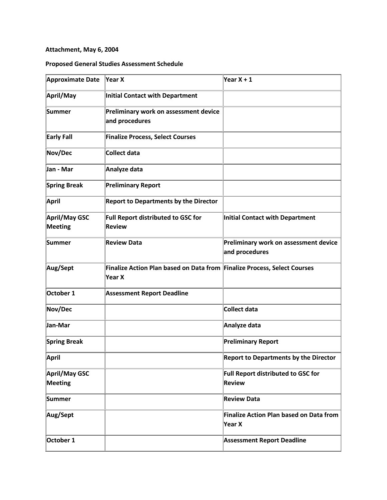# **Attachment, May 6, 2004**

# **Proposed General Studies Assessment Schedule**

| <b>Approximate Date</b>         | $\forall$ ear X                                                                    | Year $X + 1$                                               |
|---------------------------------|------------------------------------------------------------------------------------|------------------------------------------------------------|
| April/May                       | <b>Initial Contact with Department</b>                                             |                                                            |
| Summer                          | Preliminary work on assessment device<br>and procedures                            |                                                            |
| <b>Early Fall</b>               | <b>Finalize Process, Select Courses</b>                                            |                                                            |
| Nov/Dec                         | <b>Collect data</b>                                                                |                                                            |
| Jan - Mar                       | Analyze data                                                                       |                                                            |
| <b>Spring Break</b>             | <b>Preliminary Report</b>                                                          |                                                            |
| April                           | <b>Report to Departments by the Director</b>                                       |                                                            |
| April/May GSC<br>Meeting        | Full Report distributed to GSC for<br><b>Review</b>                                | Initial Contact with Department                            |
| Summer                          | <b>Review Data</b>                                                                 | Preliminary work on assessment device<br>and procedures    |
| Aug/Sept                        | Finalize Action Plan based on Data from Finalize Process, Select Courses<br>Year X |                                                            |
| October 1                       | <b>Assessment Report Deadline</b>                                                  |                                                            |
| Nov/Dec                         |                                                                                    | <b>Collect data</b>                                        |
| Jan-Mar                         |                                                                                    | Analyze data                                               |
| <b>Spring Break</b>             |                                                                                    | <b>Preliminary Report</b>                                  |
| <b>April</b>                    |                                                                                    | <b>Report to Departments by the Director</b>               |
| April/May GSC<br><b>Meeting</b> |                                                                                    | <b>Full Report distributed to GSC for</b><br><b>Review</b> |
| Summer                          |                                                                                    | <b>Review Data</b>                                         |
| Aug/Sept                        |                                                                                    | <b>Finalize Action Plan based on Data from</b><br>Year X   |
| October 1                       |                                                                                    | <b>Assessment Report Deadline</b>                          |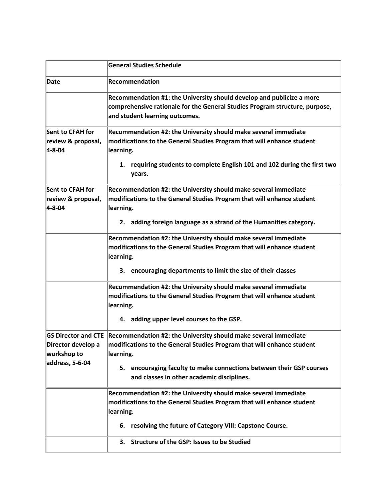|                                                        | <b>General Studies Schedule</b>                                                                                                                                                        |
|--------------------------------------------------------|----------------------------------------------------------------------------------------------------------------------------------------------------------------------------------------|
| Date                                                   | <b>Recommendation</b>                                                                                                                                                                  |
|                                                        | Recommendation #1: the University should develop and publicize a more<br>comprehensive rationale for the General Studies Program structure, purpose,<br>and student learning outcomes. |
| Sent to CFAH for<br>review & proposal,<br>$4 - 8 - 04$ | Recommendation #2: the University should make several immediate<br>modifications to the General Studies Program that will enhance student<br>learning.                                 |
|                                                        | 1. requiring students to complete English 101 and 102 during the first two<br>years.                                                                                                   |
| Sent to CFAH for<br>review & proposal,<br>$4 - 8 - 04$ | Recommendation #2: the University should make several immediate<br>modifications to the General Studies Program that will enhance student<br>learning.                                 |
|                                                        | 2. adding foreign language as a strand of the Humanities category.                                                                                                                     |
|                                                        | Recommendation #2: the University should make several immediate<br>modifications to the General Studies Program that will enhance student<br>learning.                                 |
|                                                        | 3. encouraging departments to limit the size of their classes                                                                                                                          |
|                                                        | Recommendation #2: the University should make several immediate<br>modifications to the General Studies Program that will enhance student<br>learning.                                 |
|                                                        | 4. adding upper level courses to the GSP.                                                                                                                                              |
| Director develop a<br>workshop to<br>address, 5-6-04   | GS Director and CTE Recommendation #2: the University should make several immediate<br>modifications to the General Studies Program that will enhance student<br>learning.             |
|                                                        | 5. encouraging faculty to make connections between their GSP courses<br>and classes in other academic disciplines.                                                                     |
|                                                        | Recommendation #2: the University should make several immediate<br>modifications to the General Studies Program that will enhance student<br>learning.                                 |
|                                                        | 6. resolving the future of Category VIII: Capstone Course.                                                                                                                             |
|                                                        | 3. Structure of the GSP: Issues to be Studied                                                                                                                                          |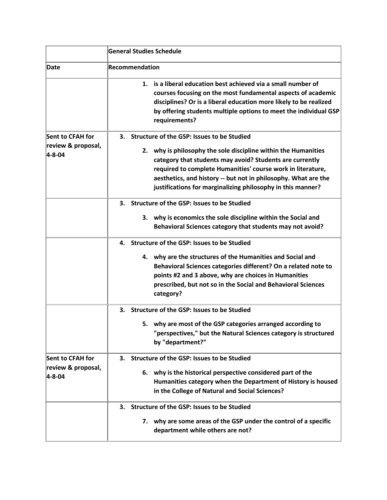|                                    | <b>General Studies Schedule</b>                                                                                                                                                                                                                                                                                            |  |
|------------------------------------|----------------------------------------------------------------------------------------------------------------------------------------------------------------------------------------------------------------------------------------------------------------------------------------------------------------------------|--|
| Date                               | <b>Recommendation</b>                                                                                                                                                                                                                                                                                                      |  |
|                                    | 1. is a liberal education best achieved via a small number of<br>courses focusing on the most fundamental aspects of academic<br>disciplines? Or is a liberal education more likely to be realized<br>by offering students multiple options to meet the individual GSP<br>requirements?                                    |  |
| <b>Sent to CFAH for</b>            | 3. Structure of the GSP: Issues to be Studied                                                                                                                                                                                                                                                                              |  |
| review & proposal,<br>$4 - 8 - 04$ | 2. why is philosophy the sole discipline within the Humanities<br>category that students may avoid? Students are currently<br>required to complete Humanities' course work in literature,<br>aesthetics, and history -- but not in philosophy. What are the<br>justifications for marginalizing philosophy in this manner? |  |
|                                    | 3. Structure of the GSP: Issues to be Studied                                                                                                                                                                                                                                                                              |  |
|                                    | 3. why is economics the sole discipline within the Social and<br>Behavioral Sciences category that students may not avoid?                                                                                                                                                                                                 |  |
|                                    | Structure of the GSP: Issues to be Studied<br>4.                                                                                                                                                                                                                                                                           |  |
|                                    | 4. why are the structures of the Humanities and Social and<br>Behavioral Sciences categories different? On a related note to<br>points #2 and 3 above, why are choices in Humanities<br>prescribed, but not so in the Social and Behavioral Sciences<br>category?                                                          |  |
|                                    | 3. Structure of the GSP: Issues to be Studied                                                                                                                                                                                                                                                                              |  |
|                                    | 5. why are most of the GSP categories arranged according to<br>"perspectives," but the Natural Sciences category is structured<br>by "department?"                                                                                                                                                                         |  |
| <b>Sent to CFAH for</b>            | 3. Structure of the GSP: Issues to be Studied                                                                                                                                                                                                                                                                              |  |
| review & proposal,<br>4-8-04       | 6. why is the historical perspective considered part of the<br>Humanities category when the Department of History is housed<br>in the College of Natural and Social Sciences?                                                                                                                                              |  |
|                                    | Structure of the GSP: Issues to be Studied<br>3.                                                                                                                                                                                                                                                                           |  |
|                                    | 7. why are some areas of the GSP under the control of a specific<br>department while others are not?                                                                                                                                                                                                                       |  |